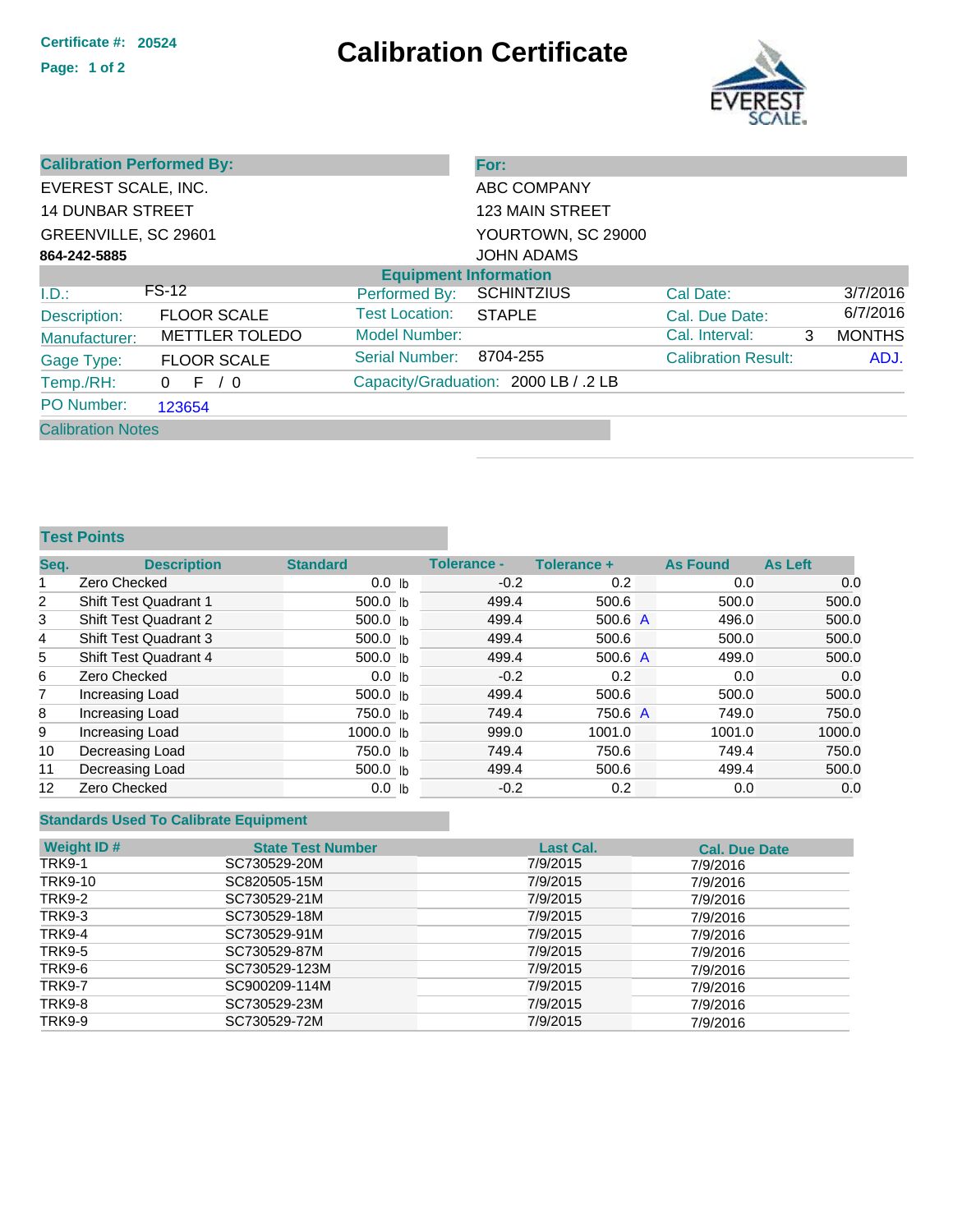## **Certificate #: <sup>20524</sup> Calibration Certificate**



| <b>Calibration Performed By:</b> |                       |                              | For:                                 |                            |   |               |
|----------------------------------|-----------------------|------------------------------|--------------------------------------|----------------------------|---|---------------|
| EVEREST SCALE, INC.              |                       |                              | ABC COMPANY                          |                            |   |               |
| <b>14 DUNBAR STREET</b>          |                       |                              | <b>123 MAIN STREET</b>               |                            |   |               |
| GREENVILLE, SC 29601             |                       |                              | YOURTOWN, SC 29000                   |                            |   |               |
| 864-242-5885                     |                       |                              | <b>JOHN ADAMS</b>                    |                            |   |               |
|                                  |                       | <b>Equipment Information</b> |                                      |                            |   |               |
| I.D.:                            | <b>FS-12</b>          | Performed By:                | <b>SCHINTZIUS</b>                    | Cal Date:                  |   | 3/7/2016      |
| Description:                     | <b>FLOOR SCALE</b>    | <b>Test Location:</b>        | <b>STAPLE</b>                        | Cal. Due Date:             |   | 6/7/2016      |
| Manufacturer:                    | <b>METTLER TOLEDO</b> | Model Number:                |                                      | Cal. Interval:             | 3 | <b>MONTHS</b> |
| Gage Type:                       | <b>FLOOR SCALE</b>    | Serial Number:               | 8704-255                             | <b>Calibration Result:</b> |   | ADJ.          |
| Temp./RH:                        | F / 0<br>0            |                              | Capacity/Graduation: 2000 LB / .2 LB |                            |   |               |
| PO Number:                       | 123654                |                              |                                      |                            |   |               |
| <b>Calibration Notes</b>         |                       |                              |                                      |                            |   |               |

**Test Points**

| Seq.           | <b>Description</b>           | <b>Standard</b>  | Tolerance - | Tolerance +          | <b>As Found</b> | As Left |        |
|----------------|------------------------------|------------------|-------------|----------------------|-----------------|---------|--------|
| 1              | Zero Checked                 | 0.0 <sub>h</sub> | $-0.2$      | 0.2                  | 0.0             |         | 0.0    |
| $\overline{2}$ | <b>Shift Test Quadrant 1</b> | 500.0 $\vert$ b  | 499.4       | 500.6                | 500.0           |         | 500.0  |
| 3              | <b>Shift Test Quadrant 2</b> | 500.0 lb         | 499.4       | 500.6 $\overline{A}$ | 496.0           |         | 500.0  |
| 4              | <b>Shift Test Quadrant 3</b> | 500.0 lb         | 499.4       | 500.6                | 500.0           |         | 500.0  |
| 5              | <b>Shift Test Quadrant 4</b> | 500.0 lb         | 499.4       | 500.6 $\overline{A}$ | 499.0           |         | 500.0  |
| 6              | Zero Checked                 | 0.0 <sub>h</sub> | $-0.2$      | 0.2                  | 0.0             |         | 0.0    |
| 7              | Increasing Load              | 500.0 lb         | 499.4       | 500.6                | 500.0           |         | 500.0  |
| 8              | Increasing Load              | 750.0 lb         | 749.4       | 750.6 A              | 749.0           |         | 750.0  |
| 9              | Increasing Load              | 1000.0 lb        | 999.0       | 1001.0               | 1001.0          |         | 1000.0 |
| 10             | Decreasing Load              | 750.0 lb         | 749.4       | 750.6                | 749.4           |         | 750.0  |
| 11             | Decreasing Load              | 500.0 lb         | 499.4       | 500.6                | 499.4           |         | 500.0  |
| 12             | Zero Checked                 | 0.0 <sub>h</sub> | $-0.2$      | 0.2                  | 0.0             |         | 0.0    |

## **Standards Used To Calibrate Equipment**

| <b>Weight ID#</b> | <b>State Test Number</b> | <b>Last Cal.</b> | <b>Cal. Due Date</b> |
|-------------------|--------------------------|------------------|----------------------|
| TRK9-1            | SC730529-20M             | 7/9/2015         | 7/9/2016             |
| TRK9-10           | SC820505-15M             | 7/9/2015         | 7/9/2016             |
| <b>TRK9-2</b>     | SC730529-21M             | 7/9/2015         | 7/9/2016             |
| TRK9-3            | SC730529-18M             | 7/9/2015         | 7/9/2016             |
| <b>TRK9-4</b>     | SC730529-91M             | 7/9/2015         | 7/9/2016             |
| <b>TRK9-5</b>     | SC730529-87M             | 7/9/2015         | 7/9/2016             |
| TRK9-6            | SC730529-123M            | 7/9/2015         | 7/9/2016             |
| <b>TRK9-7</b>     | SC900209-114M            | 7/9/2015         | 7/9/2016             |
| TRK9-8            | SC730529-23M             | 7/9/2015         | 7/9/2016             |
| <b>TRK9-9</b>     | SC730529-72M             | 7/9/2015         | 7/9/2016             |